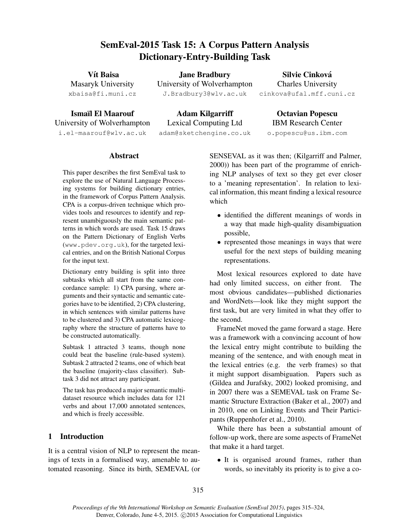# SemEval-2015 Task 15: A Corpus Pattern Analysis Dictionary-Entry-Building Task

| Vít Baisa          | <b>Jane Bradbury</b>        | Silvie Cinková            |
|--------------------|-----------------------------|---------------------------|
| Masaryk University | University of Wolverhampton | <b>Charles University</b> |
| xbaisa@fi.muni.cz  | J.Bradbury3@wlv.ac.uk       | cinkova@ufal.mff.cuni.cz  |

Ismaïl El Maarouf University of Wolverhampton i.el-maarouf@wlv.ac.uk

Adam Kilgarriff Lexical Computing Ltd adam@sketchengine.co.uk

Octavian Popescu IBM Research Center o.popescu@us.ibm.com

## Abstract

This paper describes the first SemEval task to explore the use of Natural Language Processing systems for building dictionary entries, in the framework of Corpus Pattern Analysis. CPA is a corpus-driven technique which provides tools and resources to identify and represent unambiguously the main semantic patterns in which words are used. Task 15 draws on the Pattern Dictionary of English Verbs (www.pdev.org.uk), for the targeted lexical entries, and on the British National Corpus for the input text.

Dictionary entry building is split into three subtasks which all start from the same concordance sample: 1) CPA parsing, where arguments and their syntactic and semantic categories have to be identified, 2) CPA clustering, in which sentences with similar patterns have to be clustered and 3) CPA automatic lexicography where the structure of patterns have to be constructed automatically.

Subtask 1 attracted 3 teams, though none could beat the baseline (rule-based system). Subtask 2 attracted 2 teams, one of which beat the baseline (majority-class classifier). Subtask 3 did not attract any participant.

The task has produced a major semantic multidataset resource which includes data for 121 verbs and about 17,000 annotated sentences, and which is freely accessible.

# 1 Introduction

It is a central vision of NLP to represent the meanings of texts in a formalised way, amenable to automated reasoning. Since its birth, SEMEVAL (or SENSEVAL as it was then; (Kilgarriff and Palmer, 2000)) has been part of the programme of enriching NLP analyses of text so they get ever closer to a 'meaning representation'. In relation to lexical information, this meant finding a lexical resource which

- identified the different meanings of words in a way that made high-quality disambiguation possible,
- represented those meanings in ways that were useful for the next steps of building meaning representations.

Most lexical resources explored to date have had only limited success, on either front. The most obvious candidates—published dictionaries and WordNets—look like they might support the first task, but are very limited in what they offer to the second.

FrameNet moved the game forward a stage. Here was a framework with a convincing account of how the lexical entry might contribute to building the meaning of the sentence, and with enough meat in the lexical entries (e.g. the verb frames) so that it might support disambiguation. Papers such as (Gildea and Jurafsky, 2002) looked promising, and in 2007 there was a SEMEVAL task on Frame Semantic Structure Extraction (Baker et al., 2007) and in 2010, one on Linking Events and Their Participants (Ruppenhofer et al., 2010).

While there has been a substantial amount of follow-up work, there are some aspects of FrameNet that make it a hard target.

• It is organised around frames, rather than words, so inevitably its priority is to give a co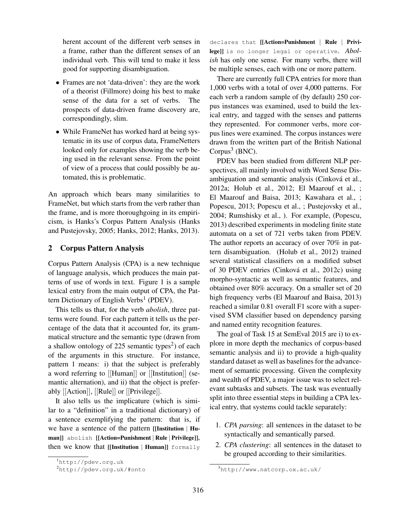herent account of the different verb senses in a frame, rather than the different senses of an individual verb. This will tend to make it less good for supporting disambiguation.

- Frames are not 'data-driven': they are the work of a theorist (Fillmore) doing his best to make sense of the data for a set of verbs. The prospects of data-driven frame discovery are, correspondingly, slim.
- While FrameNet has worked hard at being systematic in its use of corpus data, FrameNetters looked only for examples showing the verb being used in the relevant sense. From the point of view of a process that could possibly be automated, this is problematic.

An approach which bears many similarities to FrameNet, but which starts from the verb rather than the frame, and is more thoroughgoing in its empiricism, is Hanks's Corpus Pattern Analysis (Hanks and Pustejovsky, 2005; Hanks, 2012; Hanks, 2013).

## 2 Corpus Pattern Analysis

Corpus Pattern Analysis (CPA) is a new technique of language analysis, which produces the main patterns of use of words in text. Figure 1 is a sample lexical entry from the main output of CPA, the Pattern Dictionary of English Verbs<sup>1</sup> (PDEV).

This tells us that, for the verb *abolish*, three patterns were found. For each pattern it tells us the percentage of the data that it accounted for, its grammatical structure and the semantic type (drawn from a shallow ontology of 225 semantic types<sup>2</sup>) of each of the arguments in this structure. For instance, pattern 1 means: i) that the subject is preferably a word referring to [[Human]] or [[Institution]] (semantic alternation), and ii) that the object is preferably [[Action]], [[Rule]] or [[Privilege]].

It also tells us the implicature (which is similar to a "definition" in a traditional dictionary) of a sentence exemplifying the pattern: that is, if we have a sentence of the pattern [[Institution <sup>|</sup> Human]] abolish [[Action=Punishment <sup>|</sup> Rule <sup>|</sup> Privilege]], then we know that [[Institution | Human]] formally declares that [[Action=Punishment | Rule | Privilege]] is no longer legal or operative. *Abolish* has only one sense. For many verbs, there will be multiple senses, each with one or more pattern.

There are currently full CPA entries for more than 1,000 verbs with a total of over 4,000 patterns. For each verb a random sample of (by default) 250 corpus instances was examined, used to build the lexical entry, and tagged with the senses and patterns they represented. For commoner verbs, more corpus lines were examined. The corpus instances were drawn from the written part of the British National Corpus $3$  (BNC).

PDEV has been studied from different NLP perspectives, all mainly involved with Word Sense Disambiguation and semantic analysis (Cinková et al., 2012a; Holub et al., 2012; El Maarouf et al., ; El Maarouf and Baisa, 2013; Kawahara et al., ; Popescu, 2013; Popescu et al., ; Pustejovsky et al., 2004; Rumshisky et al., ). For example, (Popescu, 2013) described experiments in modeling finite state automata on a set of 721 verbs taken from PDEV. The author reports an accuracy of over 70% in pattern disambiguation. (Holub et al., 2012) trained several statistical classifiers on a modified subset of 30 PDEV entries (Cinková et al., 2012c) using morpho-syntactic as well as semantic features, and obtained over 80% accuracy. On a smaller set of 20 high frequency verbs (El Maarouf and Baisa, 2013) reached a similar 0.81 overall F1 score with a supervised SVM classifier based on dependency parsing and named entity recognition features.

The goal of Task 15 at SemEval 2015 are i) to explore in more depth the mechanics of corpus-based semantic analysis and ii) to provide a high-quality standard dataset as well as baselines for the advancement of semantic processing. Given the complexity and wealth of PDEV, a major issue was to select relevant subtasks and subsets. The task was eventually split into three essential steps in building a CPA lexical entry, that systems could tackle separately:

- 1. *CPA parsing*: all sentences in the dataset to be syntactically and semantically parsed.
- 2. *CPA clustering*: all sentences in the dataset to be grouped according to their similarities.

<sup>1</sup>http://pdev.org.uk

<sup>2</sup>http://pdev.org.uk/#onto

<sup>3</sup>http://www.natcorp.ox.ac.uk/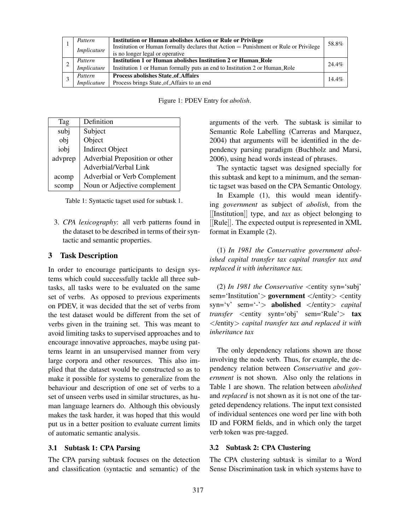|             | Pattern     | <b>Institution or Human abolishes Action or Rule or Privilege</b>                    |       |
|-------------|-------------|--------------------------------------------------------------------------------------|-------|
|             |             | Institution or Human formally declares that Action = Punishment or Rule or Privilege | 58.8% |
| Implicature |             | is no longer legal or operative                                                      |       |
|             | Pattern     | <b>Institution 1 or Human abolishes Institution 2 or Human_Role</b>                  | 24.4% |
|             | Implicature | Institution 1 or Human formally puts an end to Institution 2 or Human_Role           |       |
|             | Pattern     | <b>Process abolishes State_of_Affairs</b>                                            | 14.4% |
|             | Implicature | Process brings State_of_Affairs to an end                                            |       |

Figure 1: PDEV Entry for *abolish*.

| Tag     | Definition                     |
|---------|--------------------------------|
| subj    | Subject                        |
| obj     | Object                         |
| iobj    | <b>Indirect Object</b>         |
| advprep | Adverbial Preposition or other |
|         | Adverbial/Verbal Link          |
| acomp   | Adverbial or Verb Complement   |
| scomp   | Noun or Adjective complement   |

Table 1: Syntactic tagset used for subtask 1.

3. *CPA lexicography*: all verb patterns found in the dataset to be described in terms of their syntactic and semantic properties.

## 3 Task Description

In order to encourage participants to design systems which could successfully tackle all three subtasks, all tasks were to be evaluated on the same set of verbs. As opposed to previous experiments on PDEV, it was decided that the set of verbs from the test dataset would be different from the set of verbs given in the training set. This was meant to avoid limiting tasks to supervised approaches and to encourage innovative approaches, maybe using patterns learnt in an unsupervised manner from very large corpora and other resources. This also implied that the dataset would be constructed so as to make it possible for systems to generalize from the behaviour and description of one set of verbs to a set of unseen verbs used in similar structures, as human language learners do. Although this obviously makes the task harder, it was hoped that this would put us in a better position to evaluate current limits of automatic semantic analysis.

## 3.1 Subtask 1: CPA Parsing

The CPA parsing subtask focuses on the detection and classification (syntactic and semantic) of the arguments of the verb. The subtask is similar to Semantic Role Labelling (Carreras and Marquez, 2004) that arguments will be identified in the dependency parsing paradigm (Buchholz and Marsi, 2006), using head words instead of phrases.

The syntactic tagset was designed specially for this subtask and kept to a minimum, and the semantic tagset was based on the CPA Semantic Ontology.

In Example (1), this would mean identifying *government* as subject of *abolish*, from the [[Institution]] type, and *tax* as object belonging to [[Rule]]. The expected output is represented in XML format in Example (2).

(1) *In 1981 the Conservative government abolished capital transfer tax capital transfer tax and replaced it with inheritance tax.*

(2) *In 1981 the Conservative* <entity syn='subj' sem='Institution'> government </entity> <entity syn='v' sem='-'> abolished </entity> *capital transfer* <entity synt='obj' sem='Rule'> **tax** </entity> *capital transfer tax and replaced it with inheritance tax*

The only dependency relations shown are those involving the node verb. Thus, for example, the dependency relation between *Conservative* and *government* is not shown. Also only the relations in Table 1 are shown. The relation between *abolished* and *replaced* is not shown as it is not one of the targeted dependency relations. The input text consisted of individual sentences one word per line with both ID and FORM fields, and in which only the target verb token was pre-tagged.

#### 3.2 Subtask 2: CPA Clustering

The CPA clustering subtask is similar to a Word Sense Discrimination task in which systems have to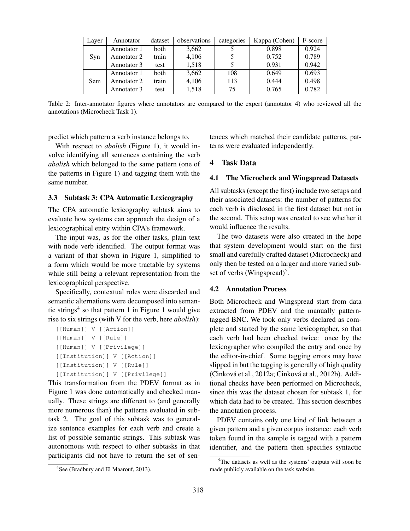| Layer | Annotator   | dataset | observations | categories | Kappa (Cohen) | F-score |
|-------|-------------|---------|--------------|------------|---------------|---------|
|       | Annotator 1 | both    | 3,662        |            | 0.898         | 0.924   |
| Syn   | Annotator 2 | train   | 4,106        |            | 0.752         | 0.789   |
|       | Annotator 3 | test    | 1,518        |            | 0.931         | 0.942   |
|       | Annotator 1 | both    | 3,662        | 108        | 0.649         | 0.693   |
| Sem   | Annotator 2 | train   | 4,106        | 113        | 0.444         | 0.498   |
|       | Annotator 3 | test    | 1,518        | 75         | 0.765         | 0.782   |

Table 2: Inter-annotator figures where annotators are compared to the expert (annotator 4) who reviewed all the annotations (Microcheck Task 1).

predict which pattern a verb instance belongs to.

With respect to *abolish* (Figure 1), it would involve identifying all sentences containing the verb *abolish* which belonged to the same pattern (one of the patterns in Figure 1) and tagging them with the same number.

#### 3.3 Subtask 3: CPA Automatic Lexicography

The CPA automatic lexicography subtask aims to evaluate how systems can approach the design of a lexicographical entry within CPA's framework.

The input was, as for the other tasks, plain text with node verb identified. The output format was a variant of that shown in Figure 1, simplified to a form which would be more tractable by systems while still being a relevant representation from the lexicographical perspective.

Specifically, contextual roles were discarded and semantic alternations were decomposed into semantic strings<sup>4</sup> so that pattern 1 in Figure 1 would give rise to six strings (with V for the verb, here *abolish*):

```
[[Human]] V [[Action]]
[[Human]] V [[Rule]]
[[Human]] V [[Privilege]]
[[Institution]] V [[Action]]
[[Institution]] V [[Rule]]
[[Institution]] V [[Privilege]]
```
This transformation from the PDEV format as in Figure 1 was done automatically and checked manually. These strings are different to (and generally more numerous than) the patterns evaluated in subtask 2. The goal of this subtask was to generalize sentence examples for each verb and create a list of possible semantic strings. This subtask was autonomous with respect to other subtasks in that participants did not have to return the set of sentences which matched their candidate patterns, patterns were evaluated independently.

## 4 Task Data

#### 4.1 The Microcheck and Wingspread Datasets

All subtasks (except the first) include two setups and their associated datasets: the number of patterns for each verb is disclosed in the first dataset but not in the second. This setup was created to see whether it would influence the results.

The two datasets were also created in the hope that system development would start on the first small and carefully crafted dataset (Microcheck) and only then be tested on a larger and more varied subset of verbs (Wingspread)<sup>5</sup>.

## 4.2 Annotation Process

Both Microcheck and Wingspread start from data extracted from PDEV and the manually patterntagged BNC. We took only verbs declared as complete and started by the same lexicographer, so that each verb had been checked twice: once by the lexicographer who compiled the entry and once by the editor-in-chief. Some tagging errors may have slipped in but the tagging is generally of high quality (Cinková et al., 2012a; Cinková et al., 2012b). Additional checks have been performed on Microcheck, since this was the dataset chosen for subtask 1, for which data had to be created. This section describes the annotation process.

PDEV contains only one kind of link between a given pattern and a given corpus instance: each verb token found in the sample is tagged with a pattern identifier, and the pattern then specifies syntactic

<sup>&</sup>lt;sup>4</sup>See (Bradbury and El Maarouf, 2013).

<sup>&</sup>lt;sup>5</sup>The datasets as well as the systems' outputs will soon be made publicly available on the task website.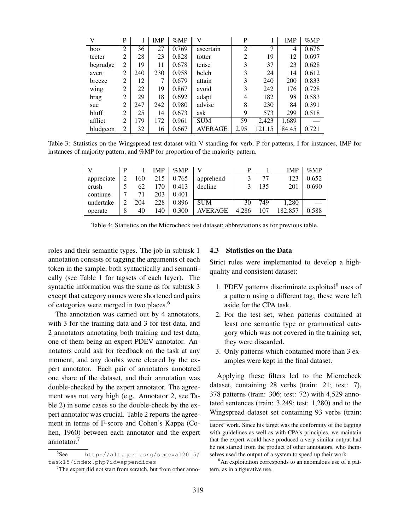| $\mathbf{V}$ | P              | I   | <b>IMP</b> | %MP   | $\mathbf{V}$   | P              |               | <b>IMP</b> | %MP   |
|--------------|----------------|-----|------------|-------|----------------|----------------|---------------|------------|-------|
| boo          | $\overline{2}$ | 36  | 27         | 0.769 | ascertain      | $\overline{c}$ | $\mathcal{I}$ | 4          | 0.676 |
| teeter       | $\overline{2}$ | 28  | 23         | 0.828 | totter         | $\overline{2}$ | 19            | 12         | 0.697 |
| begrudge     | $\overline{2}$ | 19  | 11         | 0.678 | tense          | 3              | 37            | 23         | 0.628 |
| avert        | $\overline{2}$ | 240 | 230        | 0.958 | belch          | 3              | 24            | 14         | 0.612 |
| breeze       | $\overline{2}$ | 12  | 7          | 0.679 | attain         | 3              | 240           | 200        | 0.833 |
| wing         | $\overline{2}$ | 22  | 19         | 0.867 | avoid          | 3              | 242           | 176        | 0.728 |
| brag         | $\overline{2}$ | 29  | 18         | 0.692 | adapt          | 4              | 182           | 98         | 0.583 |
| sue          | $\overline{2}$ | 247 | 242        | 0.980 | advise         | 8              | 230           | 84         | 0.391 |
| bluff        | $\overline{c}$ | 25  | 14         | 0.673 | ask            | 9              | 573           | 299        | 0.518 |
| afflict      | $\overline{2}$ | 179 | 172        | 0.961 | <b>SUM</b>     | 59             | 2,423         | 1,689      |       |
| bludgeon     | $\overline{2}$ | 32  | 16         | 0.667 | <b>AVERAGE</b> | 2.95           | 121.15        | 84.45      | 0.721 |

Table 3: Statistics on the Wingspread test dataset with V standing for verb, P for patterns, I for instances, IMP for instances of majority pattern, and %MP for proportion of the majority pattern.

|            | D |     | <b>IMP</b> | $\%MP$ |            | D     |     | IMP     | $\%MP$ |
|------------|---|-----|------------|--------|------------|-------|-----|---------|--------|
| appreciate | ◠ | 160 | 215        | 0.765  | apprehend  |       | 77  | 123     | 0.652  |
| crush      |   | 62  | 170        | 0.413  | decline    |       | 135 | 201     | 0.690  |
| continue   |   |     | 203        | 0.401  |            |       |     |         |        |
| undertake  |   | 204 | 228        | 0.896  | <b>SUM</b> | 30    | 749 | 1.280   |        |
| operate    | 8 | 40  | 140        | 0.300  | AVERAGE    | 4.286 | 107 | 182.857 | 0.588  |

Table 4: Statistics on the Microcheck test dataset; abbreviations as for previous table.

roles and their semantic types. The job in subtask 1 annotation consists of tagging the arguments of each token in the sample, both syntactically and semantically (see Table 1 for tagsets of each layer). The syntactic information was the same as for subtask 3 except that category names were shortened and pairs of categories were merged in two places.<sup>6</sup>

The annotation was carried out by 4 annotators, with 3 for the training data and 3 for test data, and 2 annotators annotating both training and test data, one of them being an expert PDEV annotator. Annotators could ask for feedback on the task at any moment, and any doubts were cleared by the expert annotator. Each pair of annotators annotated one share of the dataset, and their annotation was double-checked by the expert annotator. The agreement was not very high (e.g. Annotator 2, see Table 2) in some cases so the double-check by the expert annotator was crucial. Table 2 reports the agreement in terms of F-score and Cohen's Kappa (Cohen, 1960) between each annotator and the expert annotator.<sup>7</sup>

#### 4.3 Statistics on the Data

Strict rules were implemented to develop a highquality and consistent dataset:

- 1. PDEV patterns discriminate exploited $8$  uses of a pattern using a different tag; these were left aside for the CPA task.
- 2. For the test set, when patterns contained at least one semantic type or grammatical category which was not covered in the training set, they were discarded.
- 3. Only patterns which contained more than 3 examples were kept in the final dataset.

Applying these filters led to the Microcheck dataset, containing 28 verbs (train: 21; test: 7), 378 patterns (train: 306; test: 72) with 4,529 annotated sentences (train: 3,249; test: 1,280) and to the Wingspread dataset set containing 93 verbs (train:

 $6$ See http://alt.qcri.org/semeval2015/ task15/index.php?id=appendices

 $<sup>7</sup>$ The expert did not start from scratch, but from other anno-</sup>

tators' work. Since his target was the conformity of the tagging with guidelines as well as with CPA's principles, we maintain that the expert would have produced a very similar output had he not started from the product of other annotators, who themselves used the output of a system to speed up their work.

<sup>&</sup>lt;sup>8</sup>An exploitation corresponds to an anomalous use of a pattern, as in a figurative use.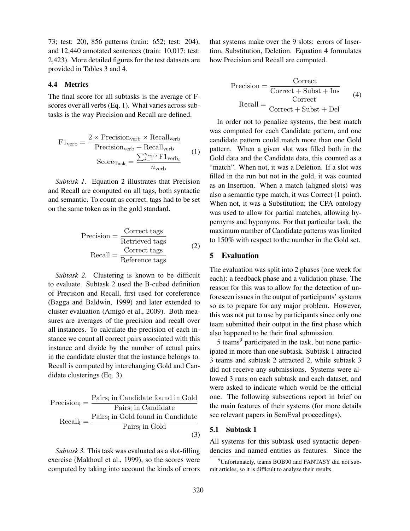73; test: 20), 856 patterns (train: 652; test: 204), and 12,440 annotated sentences (train: 10,017; test: 2,423). More detailed figures for the test datasets are provided in Tables 3 and 4.

## 4.4 Metrics

The final score for all subtasks is the average of Fscores over all verbs (Eq. 1). What varies across subtasks is the way Precision and Recall are defined.

$$
F1_{\text{verb}} = \frac{2 \times \text{Precision}_{\text{verb}} \times \text{Recall}_{\text{verb}}}{\text{Precision}_{\text{verb}} + \text{Recall}_{\text{verb}}}
$$
  
Score<sub>Task</sub> = 
$$
\frac{\sum_{i=1}^{n_{\text{verb}}}{F1_{\text{verb}}}}{n_{\text{verb}}}
$$
 (1)

*Subtask 1.* Equation 2 illustrates that Precision and Recall are computed on all tags, both syntactic and semantic. To count as correct, tags had to be set on the same token as in the gold standard.

$$
Precision = \frac{Correct \; tags}{Retrieved \; tags}
$$
\n
$$
Recall = \frac{Correct \; tags}{Reference \; tags}
$$
\n(2)

*Subtask 2.* Clustering is known to be difficult to evaluate. Subtask 2 used the B-cubed definition of Precision and Recall, first used for coreference (Bagga and Baldwin, 1999) and later extended to cluster evaluation (Amigó et al., 2009). Both measures are averages of the precision and recall over all instances. To calculate the precision of each instance we count all correct pairs associated with this instance and divide by the number of actual pairs in the candidate cluster that the instance belongs to. Recall is computed by interchanging Gold and Candidate clusterings (Eq. 3).

$$
Precision_{i} = \frac{Pairs_{i} \text{ in Candidate found in Gold} }{Pairs_{i} \text{ in Candidate} } \\ \text{Recall}_{i} = \frac{Pairs_{i} \text{ in Gold found in Candidate} }{Pairs_{i} \text{ in Gold} } \tag{3}
$$

*Subtask 3.* This task was evaluated as a slot-filling exercise (Makhoul et al., 1999), so the scores were computed by taking into account the kinds of errors that systems make over the 9 slots: errors of Insertion, Substitution, Deletion. Equation 4 formulates how Precision and Recall are computed.

$$
Precision = \frac{Correct}{Correct + Subst + Ins}
$$
  
Recall = 
$$
\frac{Correct}{Correct + Subst + Del}
$$
 (4)

In order not to penalize systems, the best match was computed for each Candidate pattern, and one candidate pattern could match more than one Gold pattern. When a given slot was filled both in the Gold data and the Candidate data, this counted as a "match". When not, it was a Deletion. If a slot was filled in the run but not in the gold, it was counted as an Insertion. When a match (aligned slots) was also a semantic type match, it was Correct (1 point). When not, it was a Substitution; the CPA ontology was used to allow for partial matches, allowing hypernyms and hyponyms. For that particular task, the maximum number of Candidate patterns was limited to 150% with respect to the number in the Gold set.

#### 5 Evaluation

The evaluation was split into 2 phases (one week for each): a feedback phase and a validation phase. The reason for this was to allow for the detection of unforeseen issues in the output of participants' systems so as to prepare for any major problem. However, this was not put to use by participants since only one team submitted their output in the first phase which also happened to be their final submission.

5 teams<sup>9</sup> participated in the task, but none participated in more than one subtask. Subtask 1 attracted 3 teams and subtask 2 attracted 2, while subtask 3 did not receive any submissions. Systems were allowed 3 runs on each subtask and each dataset, and were asked to indicate which would be the official one. The following subsections report in brief on the main features of their systems (for more details see relevant papers in SemEval proceedings).

#### 5.1 Subtask 1

All systems for this subtask used syntactic dependencies and named entities as features. Since the

<sup>&</sup>lt;sup>9</sup>Unfortunately, teams BOB90 and FANTASY did not submit articles, so it is difficult to analyze their results.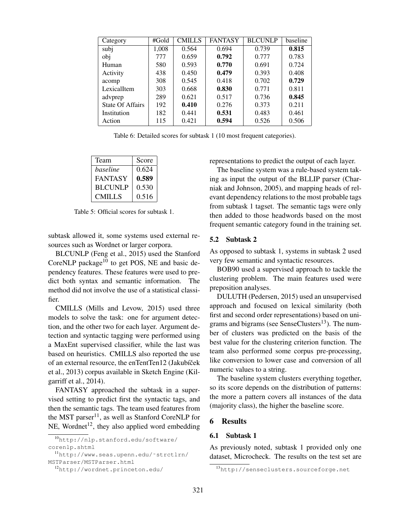| Category                | #Gold | <b>CMILLS</b> | <b>FANTASY</b> | <b>BLCUNLP</b> | baseline |
|-------------------------|-------|---------------|----------------|----------------|----------|
| subj                    | 1,008 | 0.564         | 0.694          | 0.739          | 0.815    |
| obj                     | 777   | 0.659         | 0.792          | 0.777          | 0.783    |
| Human                   | 580   | 0.593         | 0.770          | 0.691          | 0.724    |
| Activity                | 438   | 0.450         | 0.479          | 0.393          | 0.408    |
| acomp                   | 308   | 0.545         | 0.418          | 0.702          | 0.729    |
| LexicalItem             | 303   | 0.668         | 0.830          | 0.771          | 0.811    |
| advprep                 | 289   | 0.621         | 0.517          | 0.736          | 0.845    |
| <b>State Of Affairs</b> | 192   | 0.410         | 0.276          | 0.373          | 0.211    |
| Institution             | 182   | 0.441         | 0.531          | 0.483          | 0.461    |
| Action                  | 115   | 0.421         | 0.594          | 0.526          | 0.506    |

Table 6: Detailed scores for subtask 1 (10 most frequent categories).

| Team           | Score |
|----------------|-------|
| baseline       | 0.624 |
| FANTASY        | 0.589 |
| <b>BLCUNLP</b> | 0.530 |
| CMILLS         | 0.516 |

Table 5: Official scores for subtask 1.

subtask allowed it, some systems used external resources such as Wordnet or larger corpora.

BLCUNLP (Feng et al., 2015) used the Stanford CoreNLP package $10$  to get POS, NE and basic dependency features. These features were used to predict both syntax and semantic information. The method did not involve the use of a statistical classifier.

CMILLS (Mills and Levow, 2015) used three models to solve the task: one for argument detection, and the other two for each layer. Argument detection and syntactic tagging were performed using a MaxEnt supervised classifier, while the last was based on heuristics. CMILLS also reported the use of an external resource, the enTentTen12 (Jakubíček et al., 2013) corpus available in Sketch Engine (Kilgarriff et al., 2014).

FANTASY approached the subtask in a supervised setting to predict first the syntactic tags, and then the semantic tags. The team used features from the MST parser<sup>11</sup>, as well as Stanford CoreNLP for NE, Wordnet<sup>12</sup>, they also applied word embedding

representations to predict the output of each layer.

The baseline system was a rule-based system taking as input the output of the BLLIP parser (Charniak and Johnson, 2005), and mapping heads of relevant dependency relations to the most probable tags from subtask 1 tagset. The semantic tags were only then added to those headwords based on the most frequent semantic category found in the training set.

#### 5.2 Subtask 2

As opposed to subtask 1, systems in subtask 2 used very few semantic and syntactic resources.

BOB90 used a supervised approach to tackle the clustering problem. The main features used were preposition analyses.

DULUTH (Pedersen, 2015) used an unsupervised approach and focused on lexical similarity (both first and second order representations) based on unigrams and bigrams (see SenseClusters $^{13}$ ). The number of clusters was predicted on the basis of the best value for the clustering criterion function. The team also performed some corpus pre-processing, like conversion to lower case and conversion of all numeric values to a string.

The baseline system clusters everything together, so its score depends on the distribution of patterns: the more a pattern covers all instances of the data (majority class), the higher the baseline score.

#### 6 Results

## 6.1 Subtask 1

As previously noted, subtask 1 provided only one dataset, Microcheck. The results on the test set are

<sup>10</sup>http://nlp.stanford.edu/software/ corenlp.shtml

<sup>11</sup>http://www.seas.upenn.edu/˜strctlrn/ MSTParser/MSTParser.html

<sup>12</sup>http://wordnet.princeton.edu/

<sup>13</sup>http://senseclusters.sourceforge.net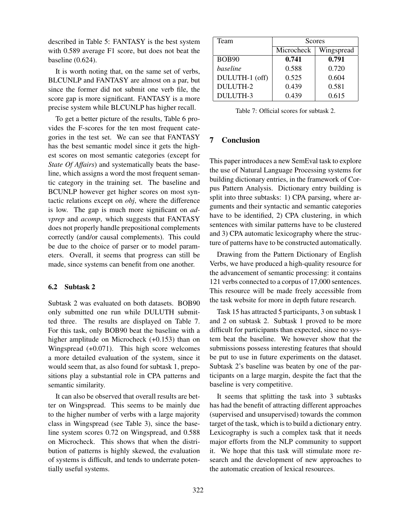described in Table 5: FANTASY is the best system with 0.589 average F1 score, but does not beat the baseline (0.624).

It is worth noting that, on the same set of verbs, BLCUNLP and FANTASY are almost on a par, but since the former did not submit one verb file, the score gap is more significant. FANTASY is a more precise system while BLCUNLP has higher recall.

To get a better picture of the results, Table 6 provides the F-scores for the ten most frequent categories in the test set. We can see that FANTASY has the best semantic model since it gets the highest scores on most semantic categories (except for *State Of Affairs*) and systematically beats the baseline, which assigns a word the most frequent semantic category in the training set. The baseline and BCUNLP however get higher scores on most syntactic relations except on *obj*, where the difference is low. The gap is much more significant on *advprep* and *acomp*, which suggests that FANTASY does not properly handle prepositional complements correctly (and/or causal complements). This could be due to the choice of parser or to model parameters. Overall, it seems that progress can still be made, since systems can benefit from one another.

## 6.2 Subtask 2

Subtask 2 was evaluated on both datasets. BOB90 only submitted one run while DULUTH submitted three. The results are displayed on Table 7. For this task, only BOB90 beat the baseline with a higher amplitude on Microcheck (+0.153) than on Wingspread (+0.071). This high score welcomes a more detailed evaluation of the system, since it would seem that, as also found for subtask 1, prepositions play a substantial role in CPA patterns and semantic similarity.

It can also be observed that overall results are better on Wingspread. This seems to be mainly due to the higher number of verbs with a large majority class in Wingspread (see Table 3), since the baseline system scores 0.72 on Wingspread, and 0.588 on Microcheck. This shows that when the distribution of patterns is highly skewed, the evaluation of systems is difficult, and tends to underrate potentially useful systems.

| Team            | <b>Scores</b> |            |  |  |  |
|-----------------|---------------|------------|--|--|--|
|                 | Microcheck    | Wingspread |  |  |  |
| <b>BOB90</b>    | 0.741         | 0.791      |  |  |  |
| baseline        | 0.588         | 0.720      |  |  |  |
| DULUTH-1 (off)  | 0.525         | 0.604      |  |  |  |
| <b>DULUTH-2</b> | 0.439         | 0.581      |  |  |  |
| DULUTH-3        | 0.439         | 0.615      |  |  |  |

Table 7: Official scores for subtask 2.

## 7 Conclusion

This paper introduces a new SemEval task to explore the use of Natural Language Processing systems for building dictionary entries, in the framework of Corpus Pattern Analysis. Dictionary entry building is split into three subtasks: 1) CPA parsing, where arguments and their syntactic and semantic categories have to be identified, 2) CPA clustering, in which sentences with similar patterns have to be clustered and 3) CPA automatic lexicography where the structure of patterns have to be constructed automatically.

Drawing from the Pattern Dictionary of English Verbs, we have produced a high-quality resource for the advancement of semantic processing: it contains 121 verbs connected to a corpus of 17,000 sentences. This resource will be made freely accessible from the task website for more in depth future research.

Task 15 has attracted 5 participants, 3 on subtask 1 and 2 on subtask 2. Subtask 1 proved to be more difficult for participants than expected, since no system beat the baseline. We however show that the submissions possess interesting features that should be put to use in future experiments on the dataset. Subtask 2's baseline was beaten by one of the participants on a large margin, despite the fact that the baseline is very competitive.

It seems that splitting the task into 3 subtasks has had the benefit of attracting different approaches (supervised and unsupervised) towards the common target of the task, which is to build a dictionary entry. Lexicography is such a complex task that it needs major efforts from the NLP community to support it. We hope that this task will stimulate more research and the development of new approaches to the automatic creation of lexical resources.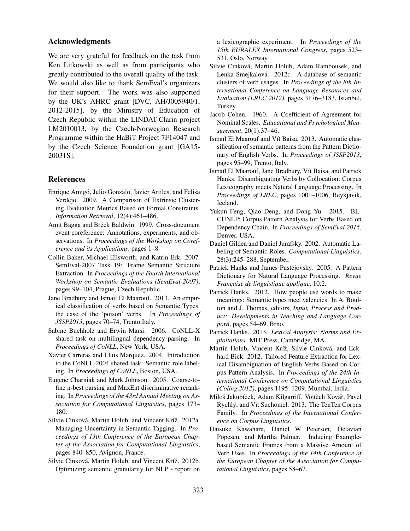## Acknowledgments

We are very grateful for feedback on the task from Ken Litkowski as well as from participants who greatly contributed to the overall quality of the task. We would also like to thank SemEval's organizers for their support. The work was also supported by the UK's AHRC grant [DVC, AH/J005940/1, 2012-2015], by the Ministry of Education of Czech Republic within the LINDAT-Clarin project LM2010013, by the Czech-Norwegian Research Programme within the HaBiT Project 7F14047 and by the Czech Science Foundation grant [GA15- 20031S].

#### **References**

- Enrique Amigo, Julio Gonzalo, Javier Artiles, and Felisa ´ Verdejo. 2009. A Comparison of Extrinsic Clustering Evaluation Metrics Based on Formal Constraints. *Information Retrieval*, 12(4):461–486.
- Amit Bagga and Breck Baldwin. 1999. Cross-document event coreference: Annotations, experiments, and observations. In *Proceedings of the Workshop on Coreference and its Applications*, pages 1–8.
- Collin Baker, Michael Ellsworth, and Katrin Erk. 2007. SemEval-2007 Task 19: Frame Semantic Structure Extraction. In *Proceedings of the Fourth International Workshop on Semantic Evaluations (SemEval-2007)*, pages 99–104, Prague, Czech Republic.
- Jane Bradbury and Ismaïl El Maarouf. 2013. An empirical classification of verbs based on Semantic Types: the case of the 'poison' verbs. In *Proceedings of JSSP2013*, pages 70–74, Trento,Italy.
- Sabine Buchholz and Erwin Marsi. 2006. CoNLL-X shared task on multilingual dependency parsing. In *Proceedings of CoNLL*, New York, USA.
- Xavier Carreras and Lluis Marquez. 2004. Introduction to the CoNLL-2004 shared task: Semantic role labeling. In *Proceedings of CoNLL*, Boston, USA.
- Eugene Charniak and Mark Johnson. 2005. Coarse-tofine n-best parsing and MaxEnt discriminative reranking. In *Proceedings of the 43rd Annual Meeting on Association for Computational Linguistics*, pages 173– 180.
- Silvie Cinková, Martin Holub, and Vincent Kríž. 2012a. Managing Uncertainty in Semantic Tagging. In *Proceedings of 13th Conference of the European Chapter of the Association for Computational Linguistics*, pages 840–850, Avignon, France.
- Silvie Cinková, Martin Holub, and Vincent Kríž. 2012b. Optimizing semantic granularity for NLP - report on

a lexicographic experiment. In *Proceedings of the 15th EURALEX International Congress*, pages 523– 531, Oslo, Norway.

- Silvie Cinková, Martin Holub, Adam Rambousek, and Lenka Smejkalová. 2012c. A database of semantic clusters of verb usages. In *Proceedings of the 8th International Conference on Language Resources and Evaluation (LREC 2012)*, pages 3176–3183, Istanbul, Turkey.
- Jacob Cohen. 1960. A Coefficient of Agreement for Nominal Scales. *Educational and Psychological Measurement*, 20(1):37–46.
- Ismaïl El Maarouf and Vít Baisa. 2013. Automatic classification of semantic patterns from the Pattern Dictionary of English Verbs. In *Proceedings of JSSP2013*, pages 95–99, Trento, Italy.
- Ismaïl El Maarouf, Jane Bradbury, Vít Baisa, and Patrick Hanks. Disambiguating Verbs by Collocation: Corpus Lexicography meets Natural Language Processing. In *Proceedings of LREC*, pages 1001–1006, Reykjavik, Iceland.
- Yukun Feng, Qiao Deng, and Dong Yu. 2015. BL-CUNLP: Corpus Pattern Analysis for Verbs Based on Dependency Chain. In *Proceedings of SemEval 2015*, Denver, USA.
- Daniel Gildea and Daniel Jurafsky. 2002. Automatic Labeling of Semantic Roles. *Computational Linguistics*, 28(3):245–288, September.
- Patrick Hanks and James Pustejovsky. 2005. A Pattern Dictionary for Natural Language Processing. *Revue Franc¸aise de linguistique applique*, 10:2.
- Patrick Hanks. 2012. How people use words to make meanings: Semantic types meet valencies. In A. Boulton and J. Thomas, editors, *Input, Process and Product: Developments in Teaching and Language Corpora*, pages 54–69. Brno.
- Patrick Hanks. 2013. *Lexical Analysis: Norms and Exploitations*. MIT Press, Cambridge, MA.
- Martin Holub, Vincent Kríž, Silvie Cinková, and Eckhard Bick. 2012. Tailored Feature Extraction for Lexical Disambiguation of English Verbs Based on Corpus Pattern Analysis. In *Proceedings of the 24th International Conference on Computational Linguistics (Coling 2012)*, pages 1195–1209, Mumbai, India.
- Miloš Jakubíček, Adam Kilgarriff, Vojtěch Kovář, Pavel Rychlý, and Vít Suchomel. 2013. The TenTen Corpus Family. In *Proceedings of the International Conference on Corpus Linguistics*.
- Daisuke Kawahara, Daniel W Peterson, Octavian Popescu, and Martha Palmer. Inducing Examplebased Semantic Frames from a Massive Amount of Verb Uses. In *Proceedings of the 14th Conference of the European Chapter of the Association for Computational Linguistics*, pages 58–67.